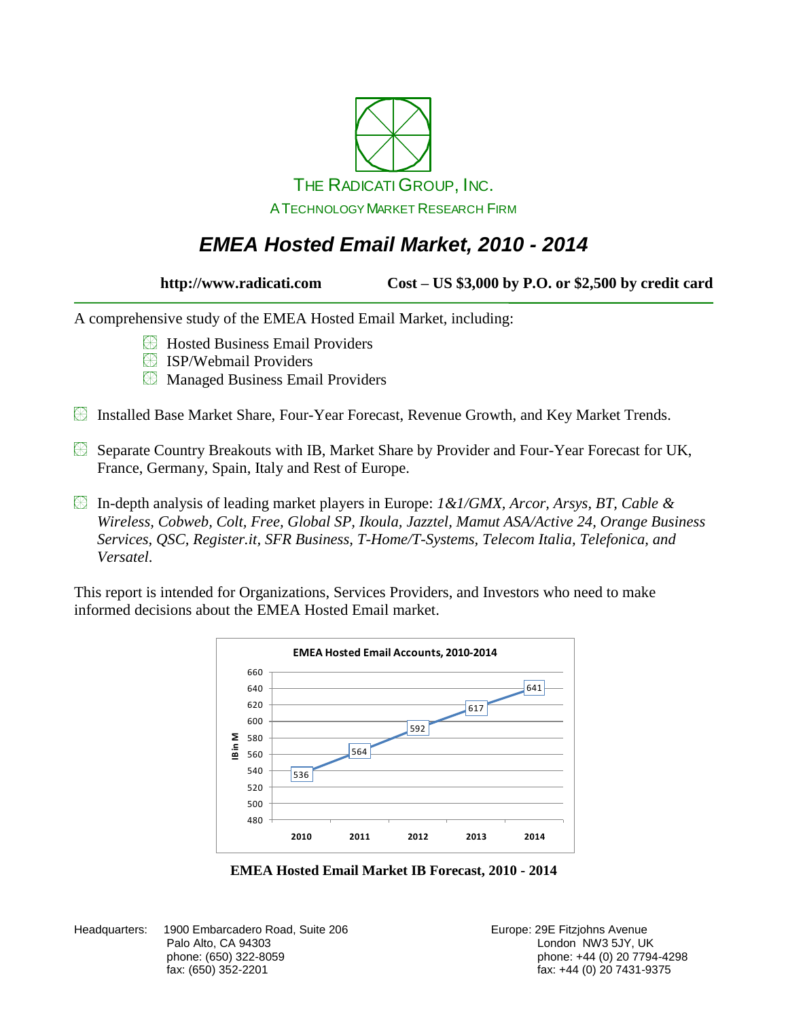

### *EMEA Hosted Email Market, 2010 - 2014*

**http://www.radicati.com Cost – US \$3,000 by P.O. or \$2,500 by credit card**

A comprehensive study of the EMEA Hosted Email Market, including:

- Hosted Business Email Providers
- **E** ISP/Webmail Providers
- **EX** Managed Business Email Providers
- Installed Base Market Share, Four-Year Forecast, Revenue Growth, and Key Market Trends.
- Separate Country Breakouts with IB, Market Share by Provider and Four-Year Forecast for UK, France, Germany, Spain, Italy and Rest of Europe.
- In-depth analysis of leading market players in Europe: *1&1/GMX, Arcor, Arsys, BT, Cable & Wireless, Cobweb, Colt, Free, Global SP, Ikoula, Jazztel, Mamut ASA/Active 24, Orange Business Services, QSC, Register.it, SFR Business, T-Home/T-Systems, Telecom Italia, Telefonica, and Versatel*.

This report is intended for Organizations, Services Providers, and Investors who need to make informed decisions about the EMEA Hosted Email market.



**EMEA Hosted Email Market IB Forecast, 2010 - 2014**

Headquarters: 1900 Embarcadero Road, Suite 206 **Europe: 29 Europe: 29E Fitzjohns Avenue** Palo Alto, CA 94303 **Disk and Alto, CA 94303** London NW3 5JY, UK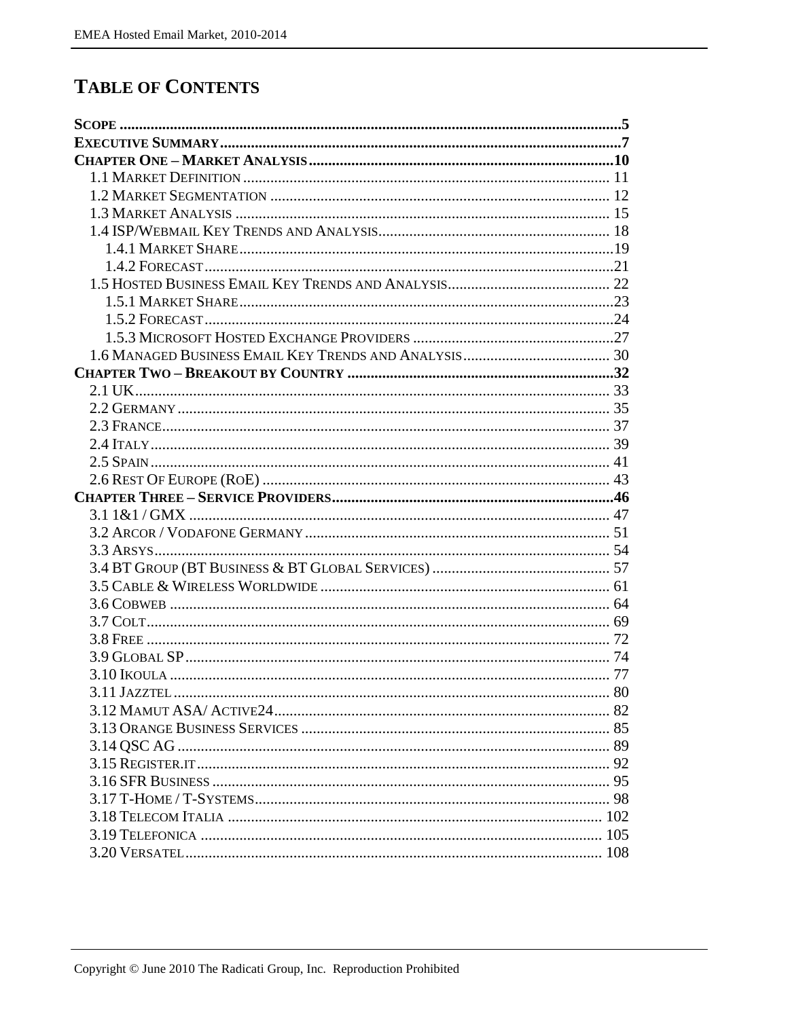## **TABLE OF CONTENTS**

| 3.11 JAZZTEL $80$ |  |
|-------------------|--|
|                   |  |
|                   |  |
|                   |  |
|                   |  |
|                   |  |
|                   |  |
|                   |  |
|                   |  |
|                   |  |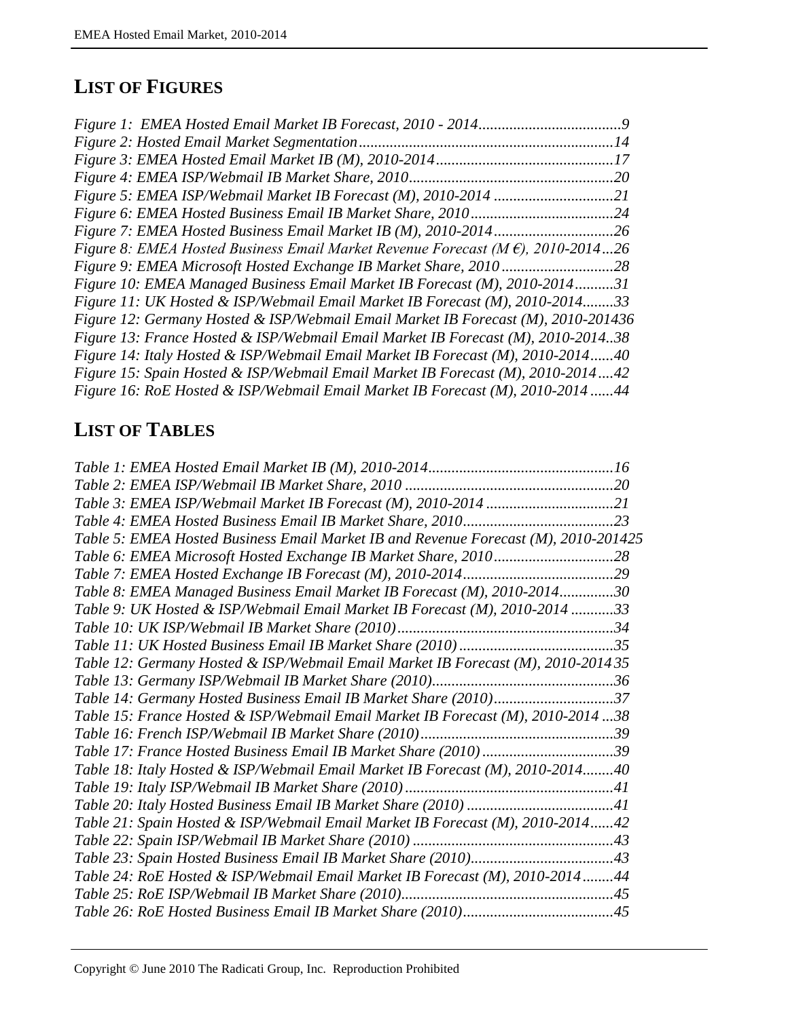#### **LIST OF FIGURES**

|                                                                                                  | 9   |
|--------------------------------------------------------------------------------------------------|-----|
|                                                                                                  |     |
|                                                                                                  | 17  |
|                                                                                                  | 20  |
|                                                                                                  | .21 |
|                                                                                                  | .24 |
|                                                                                                  | .26 |
| Figure 8: EMEA Hosted Business Email Market Revenue Forecast ( $M \hat{\epsilon}$ ), 2010-201426 |     |
|                                                                                                  | .28 |
| Figure 10: EMEA Managed Business Email Market IB Forecast (M), 2010-201431                       |     |
| Figure 11: UK Hosted & ISP/Webmail Email Market IB Forecast (M), 2010-201433                     |     |
| Figure 12: Germany Hosted & ISP/Webmail Email Market IB Forecast (M), 2010-201436                |     |
| Figure 13: France Hosted & ISP/Webmail Email Market IB Forecast (M), 2010-201438                 |     |
| Figure 14: Italy Hosted & ISP/Webmail Email Market IB Forecast (M), 2010-201440                  |     |
| Figure 15: Spain Hosted & ISP/Webmail Email Market IB Forecast (M), 2010-201442                  |     |
| Figure 16: RoE Hosted & ISP/Webmail Email Market IB Forecast (M), 2010-201444                    |     |
|                                                                                                  |     |

# **LIST OF TABLES**

| Table 5: EMEA Hosted Business Email Market IB and Revenue Forecast (M), 2010-201425 |
|-------------------------------------------------------------------------------------|
|                                                                                     |
|                                                                                     |
| Table 8: EMEA Managed Business Email Market IB Forecast (M), 2010-201430            |
| Table 9: UK Hosted & ISP/Webmail Email Market IB Forecast (M), 2010-2014 33         |
|                                                                                     |
|                                                                                     |
| Table 12: Germany Hosted & ISP/Webmail Email Market IB Forecast (M), 2010-2014 35   |
|                                                                                     |
| Table 14: Germany Hosted Business Email IB Market Share (2010)37                    |
| Table 15: France Hosted & ISP/Webmail Email Market IB Forecast (M), 2010-201438     |
|                                                                                     |
| Table 17: France Hosted Business Email IB Market Share (2010)39                     |
| Table 18: Italy Hosted & ISP/Webmail Email Market IB Forecast (M), 2010-201440      |
|                                                                                     |
|                                                                                     |
| Table 21: Spain Hosted & ISP/Webmail Email Market IB Forecast (M), 2010-201442      |
|                                                                                     |
|                                                                                     |
| Table 24: RoE Hosted & ISP/Webmail Email Market IB Forecast (M), 2010-201444        |
|                                                                                     |
|                                                                                     |